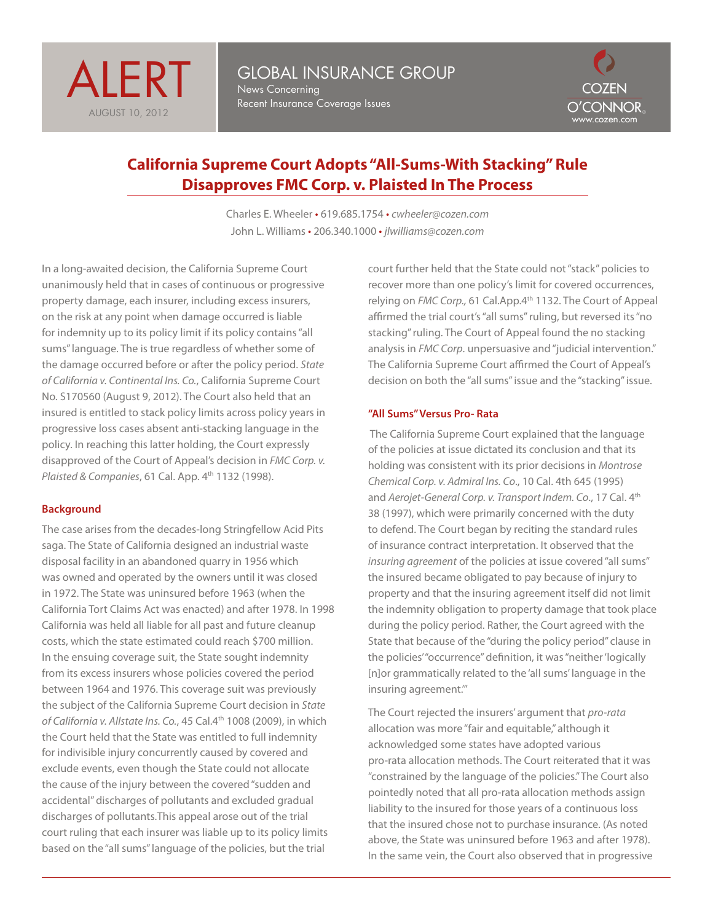



# **California Supreme Court Adopts "All-Sums-With Stacking" Rule Disapproves FMC Corp. v. Plaisted In The Process**

Charles E. Wheeler • 619.685.1754 • *cwheeler@cozen.com* John L. Williams • 206.340.1000 • *jlwilliams@cozen.com* 

In a long-awaited decision, the California Supreme Court unanimously held that in cases of continuous or progressive property damage, each insurer, including excess insurers, on the risk at any point when damage occurred is liable for indemnity up to its policy limit if its policy contains "all sums" language. The is true regardless of whether some of the damage occurred before or after the policy period. *State of California v. Continental Ins. Co.*, California Supreme Court No. S170560 (August 9, 2012). The Court also held that an insured is entitled to stack policy limits across policy years in progressive loss cases absent anti-stacking language in the policy. In reaching this latter holding, the Court expressly disapproved of the Court of Appeal's decision in *FMC Corp. v. Plaisted & Companies*, 61 Cal. App. 4<sup>th</sup> 1132 (1998).

## **Background**

The case arises from the decades-long Stringfellow Acid Pits saga. The State of California designed an industrial waste disposal facility in an abandoned quarry in 1956 which was owned and operated by the owners until it was closed in 1972. The State was uninsured before 1963 (when the California Tort Claims Act was enacted) and after 1978. In 1998 California was held all liable for all past and future cleanup costs, which the state estimated could reach \$700 million. In the ensuing coverage suit, the State sought indemnity from its excess insurers whose policies covered the period between 1964 and 1976. This coverage suit was previously the subject of the California Supreme Court decision in *State of California v. Allstate Ins. Co.*, 45 Cal.4th 1008 (2009), in which the Court held that the State was entitled to full indemnity for indivisible injury concurrently caused by covered and exclude events, even though the State could not allocate the cause of the injury between the covered "sudden and accidental" discharges of pollutants and excluded gradual discharges of pollutants.This appeal arose out of the trial court ruling that each insurer was liable up to its policy limits based on the "all sums" language of the policies, but the trial

court further held that the State could not "stack" policies to recover more than one policy's limit for covered occurrences, relying on *FMC Corp.,* 61 Cal.App.4th 1132. The Court of Appeal affirmed the trial court's "all sums" ruling, but reversed its "no stacking" ruling. The Court of Appeal found the no stacking analysis in *FMC Corp*. unpersuasive and "judicial intervention." The California Supreme Court affirmed the Court of Appeal's decision on both the "all sums" issue and the "stacking" issue.

### **"All Sums" Versus Pro- Rata**

 The California Supreme Court explained that the language of the policies at issue dictated its conclusion and that its holding was consistent with its prior decisions in *Montrose Chemical Corp. v. Admiral Ins. Co*., 10 Cal. 4th 645 (1995) and *Aerojet-General Corp. v. Transport Indem. Co*., 17 Cal. 4th 38 (1997), which were primarily concerned with the duty to defend. The Court began by reciting the standard rules of insurance contract interpretation. It observed that the *insuring agreement* of the policies at issue covered "all sums" the insured became obligated to pay because of injury to property and that the insuring agreement itself did not limit the indemnity obligation to property damage that took place during the policy period. Rather, the Court agreed with the State that because of the "during the policy period" clause in the policies' "occurrence" definition, it was "neither 'logically [n]or grammatically related to the 'all sums' language in the insuring agreement.'"

The Court rejected the insurers' argument that *pro-rata* allocation was more "fair and equitable," although it acknowledged some states have adopted various pro-rata allocation methods. The Court reiterated that it was "constrained by the language of the policies." The Court also pointedly noted that all pro-rata allocation methods assign liability to the insured for those years of a continuous loss that the insured chose not to purchase insurance. (As noted above, the State was uninsured before 1963 and after 1978). In the same vein, the Court also observed that in progressive